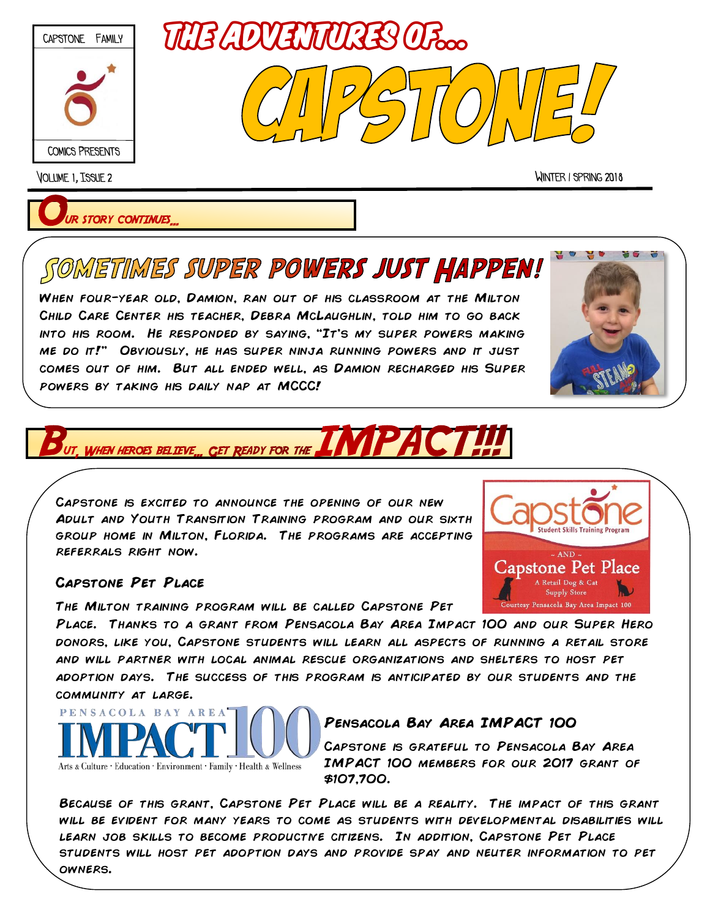

Volume 1, Issue 2 Winter / spring 2018

 $\sim$  AND  $\cdot$ **Capstone Pet Place** A Retail Dog & Ca Supply Store rtesy Pensacola Bay Area Impact 100

**UR STORY CONTINUES** 

# SOMETIMES SUPER POWERS JUST HAPPEN!

When four-year old, Damion, ran out of his classroom at the Milton Child Care Center his teacher, Debra McLaughlin, told him to go back into his room. He responded by saying, "It's my super powers making me do it!" Obviously, he has super ninja running powers and it just comes out of him. But all ended well, as Damion recharged his Super powers by taking his daily nap at MCCC!



### **CET READY FOR THE WHEN HEROES BELTEVE**

Capstone is excited to announce the opening of our new Adult and Youth Transition Training program and our sixth group home in Milton, Florida. The programs are accepting referrals right now.

#### **Capstone Pet Place**

The Milton training program will be called Capstone Pet

Place. Thanks to a grant from Pensacola Bay Area Impact 100 and our Super Hero donors, like you, Capstone students will learn all aspects of running a retail store and will partner with local animal rescue organizations and shelters to host pet adoption days. The success of this program is anticipated by our students and the community at large.



## **Pensacola Bay Area IMPACT 100**

Capstone is grateful to Pensacola Bay Area IMPACT 100 members for our 2017 grant of \$107,700.

Because of this grant, Capstone Pet Place will be a reality. The impact of this grant will be evident for many years to come as students with developmental disabilities will LEARN JOB SKILLS TO BECOME PRODUCTIVE CITIZENS. IN ADDITION, CAPSTONE PET PLACE students will host pet adoption days and provide spay and neuter information to pet owners.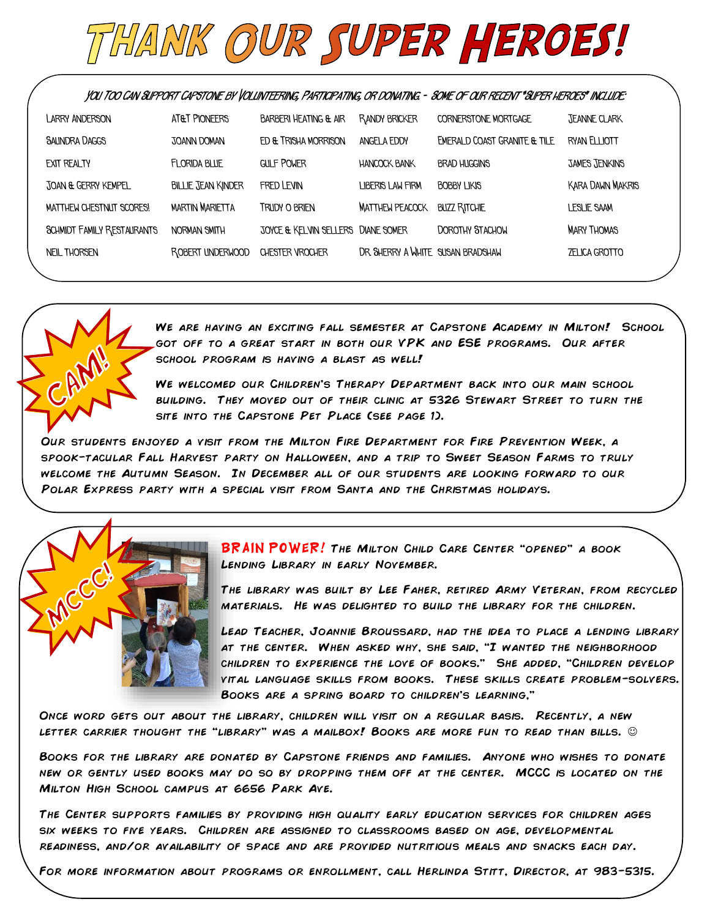

**You Too Can Support Capstone by Volunteering, Participating, or donating. - Some of our recent "Super heroes" include:**

| LARRY ANDERSON                    | AT&T PIONEERS             | <b>BARBERI HEATING &amp; AIR</b>   | RANDY BRICKER                     | <b>CORNERSTONE MORTGAGE</b>  | <b>JEANNE CLARK</b>     |
|-----------------------------------|---------------------------|------------------------------------|-----------------------------------|------------------------------|-------------------------|
| <b>SAUNDRA DAGGS</b>              | <b>JOANN DOMAN</b>        | ED & TRISHA MORRISON               | ANGEL A EDDY                      | EMERALD COAST GRANITE & TILE | RYAN ELLIOTT            |
| EXIT REALTY                       | <b>FLORIDA BLUE</b>       | <b>GULF POWER</b>                  | <b>HANCOCK BANK</b>               | <b>BRAD HUGGINS</b>          | <b>JAMES JENKINS</b>    |
| JOAN & GERRY KEMPEL               | <b>BILLIE JEAN KINDER</b> | FRED LEVIN                         | <b>LIBERIS LAW FIRM</b>           | <b>BOBBY LIKIS</b>           | <b>KARA DAWN MAKRIS</b> |
| MATTHEW CHESTNUT SCORES!          | <b>MARTIN MARIETTA</b>    | TRUDY O BRIEN                      | <b>MATTHEW PEACOCK</b>            | <b>BUZZ RITCHIE</b>          | LESLIE SAAM             |
| <b>SCHMIDT FAMILY RESTAURANTS</b> | NORMAN SMITH              | JOYCE & KELVIN SELLERS DIANE SOMER |                                   | <b>DOROTHY STACHOW</b>       | <b>MARY THOMAS</b>      |
| <b>NEIL THORSEN</b>               | ROBERT UNDERWOOD          | CHESTER VROCHER                    | DR. SHERRY A WHITE SUSAN BRADSHAW |                              | <b>ZELICA GROTTO</b>    |
|                                   |                           |                                    |                                   |                              |                         |



We are having an exciting fall semester at Capstone Academy in Milton! School got off to a great start in both our VPK and ESE programs. Our after school program is having a blast as well!

We welcomed our Children's Therapy Department back into our main school building. They moved out of their clinic at 5326 Stewart Street to turn the site into the Capstone Pet Place (see page 1).

OUR STUDENTS ENJOYED A VISIT FROM THE MILTON FIRE DEPARTMENT FOR FIRE PREVENTION WEEK, A spook-tacular Fall Harvest party on Halloween, and a trip to Sweet Season Farms to truly welcome the Autumn Season. In December all of our students are looking forward to our POLAR EXPRESS PARTY WITH A SPECIAL VISIT FROM SANTA AND THE CHRISTMAS HOLIDAYS.



BRAIN POWER! THE MILTON CHILD CARE CENTER "OPENED" A BOOK Lending Library in early November.

The library was built by Lee Faher, retired Army Veteran, from recycled materials. He was delighted to build the library for the children.

Lead Teacher, Joannie Broussard, had the idea to place a lending library at the center. When asked why, she said, "I wanted the neighborhood children to experience the love of books." She added, "Children develop vital language skills from books. These skills create problem-solvers. Books are a spring board to children's learning,"

Once word gets out about the library, children will visit on a regular basis. Recently, a new LETTER CARRIER THOUGHT THE "LIBRARY" WAS A MAILBOX! BOOKS ARE MORE FUN TO READ THAN BILLS.  $\odot$ 

Books for the library are donated by Capstone friends and families. Anyone who wishes to donate new or gently used books may do so by dropping them off at the center. MCCC is located on the Milton High School campus at 6656 Park Ave.

The Center supports families by providing high quality early education services for children ages six weeks to five years. Children are assigned to classrooms based on age, developmental readiness, and/or availability of space and are provided nutritious meals and snacks each day.

For more information about programs or enrollment, call Herlinda Stitt, Director, at 983-5315.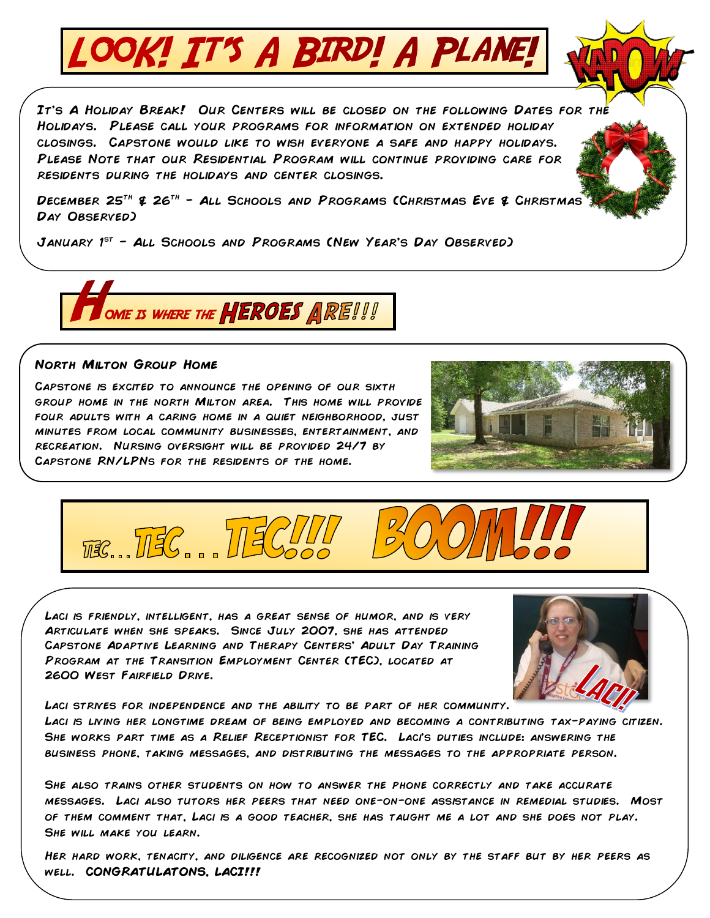

It's A Holiday Break! Our Centers will be closed on the following Dates for the Holidays. Please call your programs for information on extended holiday closings. Capstone would like to wish everyone a safe and happy holidays. Please Note that our Residential Program will continue providing care for residents during the holidays and center closings.

DECEMBER 25<sup>TH</sup> & 26<sup>TH</sup> – ALL SCHOOLS AND PROGRAMS (CHRISTMAS EVE & CHRISTMAS<sup>T</sup> Day Observed)

JANUARY  $1^{ST}$  – ALL SCHOOLS AND PROGRAMS (NEW YEAR'S DAY OBSERVED)



#### **North Milton Group Home**

Capstone is excited to announce the opening of our sixth group home in the north Milton area. This home will provide four adults with a caring home in a quiet neighborhood, just minutes from local community businesses, entertainment, and recreation. Nursing oversight will be provided 24/7 by Capstone RN/LPNs for the residents of the home.





Laci is friendly, intelligent, has a great sense of humor, and is very Articulate when she speaks. Since July 2007, she has attended Capstone Adaptive Learning and Therapy Centers' Adult Day Training Program at the Transition Employment Center (TEC), located at 2600 WEST FAIRFIELD DRIVE.



LACI STRIVES FOR INDEPENDENCE AND THE ABILITY TO BE PART OF HER COMMUNITY.

Laci is living her longtime dream of being employed and becoming a contributing tax-paying citizen. She works part time as a Relief Receptionist for TEC. Laci's duties include: answering the business phone, taking messages, and distributing the messages to the appropriate person.

She also trains other students on how to answer the phone correctly and take accurate messages. Laci also tutors her peers that need one-on-one assistance in remedial studies. Most of them comment that, Laci is a good teacher, she has taught me a lot and she does not play. She will make you learn.

Her hard work, tenacity, and diligence are recognized not only by the staff but by her peers as well. **CONGRATULATONS, LACI!!!**